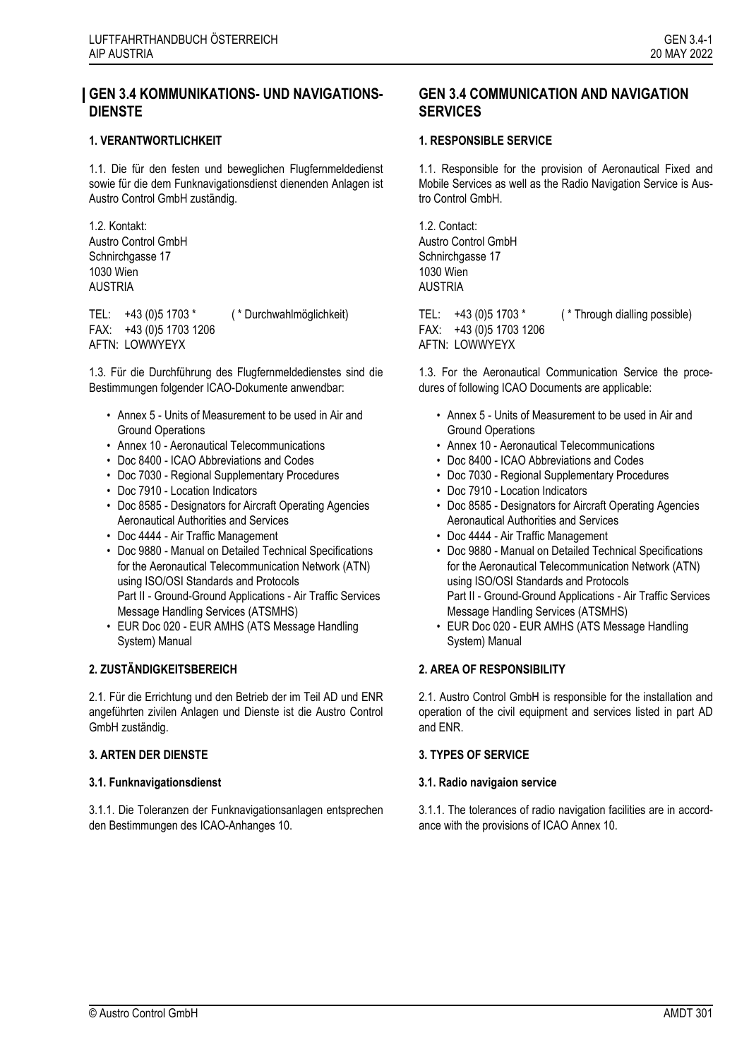# **GEN 3.4 KOMMUNIKATIONS- UND NAVIGATIONS-DIENSTE**

## **1. VERANTWORTLICHKEIT 1. 1. RESPONSIBLE SERVICE**

1.1. Die für den festen und beweglichen Flugfernmeldedienst sowie für die dem Funknavigationsdienst dienenden Anlagen ist Austro Control GmbH zuständig.

1.2. Kontakt: Austro Control GmbH Schnirchgasse 17 1030 Wien AUSTRIA

TEL: +43 (0)5 1703 \* ( \* Durchwahlmöglichkeit) FAX: +43 (0)5 1703 1206 AFTN: LOWWYEYX

<span id="page-0-0"></span>1.3. Für die Durchführung des Flugfernmeldedienstes sind die Bestimmungen folgender ICAO-Dokumente anwendbar:

- Annex 5 Units of Measurement to be used in Air and Ground Operations
- Annex 10 Aeronautical Telecommunications
- Doc 8400 ICAO Abbreviations and Codes
- Doc 7030 Regional Supplementary Procedures
- Doc 7910 Location Indicators
- Doc 8585 Designators for Aircraft Operating Agencies Aeronautical Authorities and Services
- Doc 4444 Air Traffic Management
- Doc 9880 Manual on Detailed Technical Specifications for the Aeronautical Telecommunication Network (ATN) using ISO/OSI Standards and Protocols Part II - Ground-Ground Applications - Air Traffic Services Message Handling Services (ATSMHS)
- EUR Doc 020 EUR AMHS (ATS Message Handling System) Manual

## **2. ZUSTÄNDIGKEITSBEREICH 2. AREA OF RESPONSIBILITY**

2.1. Für die Errichtung und den Betrieb der im Teil AD und ENR angeführten zivilen Anlagen und Dienste ist die Austro Control GmbH zuständig.

## **3. ARTEN DER DIENSTE 3. TYPES OF SERVICE**

3.1.1. Die Toleranzen der Funknavigationsanlagen entsprechen den Bestimmungen des ICAO-Anhanges 10.

# **GEN 3.4 COMMUNICATION AND NAVIGATION SERVICES**

1.1. Responsible for the provision of Aeronautical Fixed and Mobile Services as well as the Radio Navigation Service is Austro Control GmbH.

1.2. Contact: Austro Control GmbH Schnirchgasse 17 1030 Wien AUSTRIA

TEL:  $+43$  (0)5 1703 \*  $($  \* Through dialling possible) FAX: +43 (0)5 1703 1206 AFTN: LOWWYEYX

<span id="page-0-1"></span>1.3. For the Aeronautical Communication Service the procedures of following ICAO Documents are applicable:

- Annex 5 Units of Measurement to be used in Air and Ground Operations
- Annex 10 Aeronautical Telecommunications
- Doc 8400 ICAO Abbreviations and Codes
- Doc 7030 Regional Supplementary Procedures
- Doc 7910 Location Indicators
- Doc 8585 Designators for Aircraft Operating Agencies Aeronautical Authorities and Services
- Doc 4444 Air Traffic Management
- Doc 9880 Manual on Detailed Technical Specifications for the Aeronautical Telecommunication Network (ATN) using ISO/OSI Standards and Protocols Part II - Ground-Ground Applications - Air Traffic Services Message Handling Services (ATSMHS)
- EUR Doc 020 EUR AMHS (ATS Message Handling System) Manual

2.1. Austro Control GmbH is responsible for the installation and operation of the civil equipment and services listed in part AD and ENR.

## **3.1. Funknavigationsdienst 3.1. Radio navigaion service**

3.1.1. The tolerances of radio navigation facilities are in accordance with the provisions of ICAO Annex 10.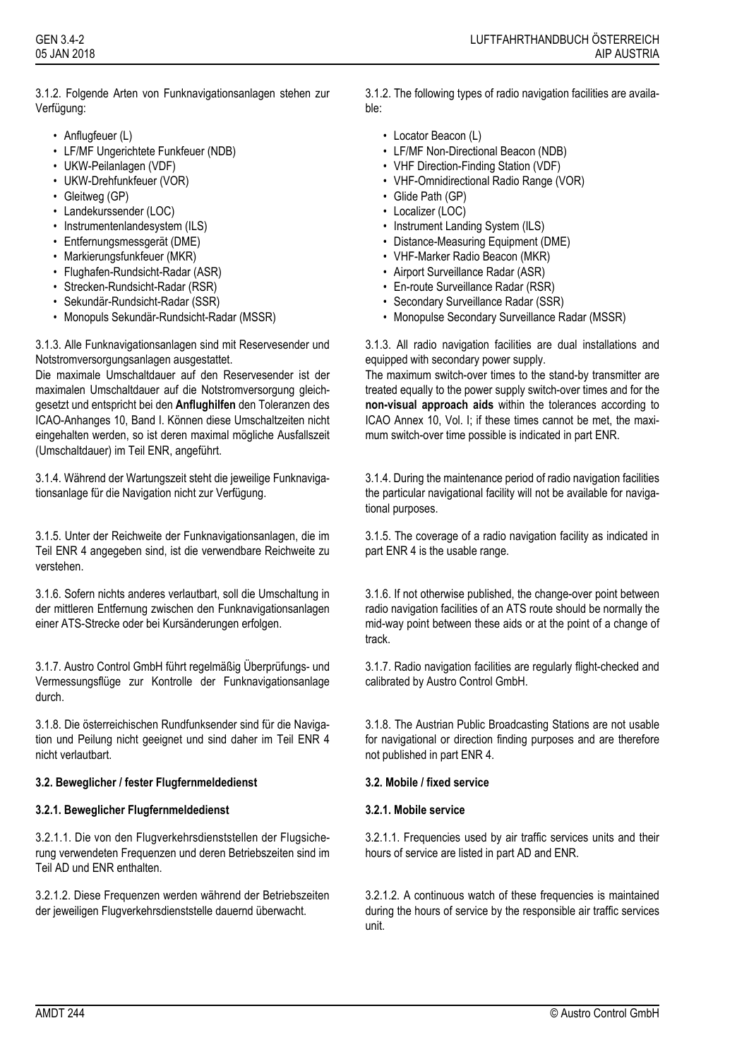3.1.2. Folgende Arten von Funknavigationsanlagen stehen zur Verfügung:

- Anflugfeuer (L)
- LF/MF Ungerichtete Funkfeuer (NDB)
- UKW-Peilanlagen (VDF)
- UKW-Drehfunkfeuer (VOR)
- Gleitweg (GP)
- Landekurssender (LOC)
- Instrumentenlandesystem (ILS)
- Entfernungsmessgerät (DME)
- Markierungsfunkfeuer (MKR)
- Flughafen-Rundsicht-Radar (ASR)
- Strecken-Rundsicht-Radar (RSR)
- Sekundär-Rundsicht-Radar (SSR)
- Monopuls Sekundär-Rundsicht-Radar (MSSR)

3.1.3. Alle Funknavigationsanlagen sind mit Reservesender und Notstromversorgungsanlagen ausgestattet.

Die maximale Umschaltdauer auf den Reservesender ist der maximalen Umschaltdauer auf die Notstromversorgung gleichgesetzt und entspricht bei den **Anflughilfen** den Toleranzen des ICAO-Anhanges 10, Band I. Können diese Umschaltzeiten nicht eingehalten werden, so ist deren maximal mögliche Ausfallszeit (Umschaltdauer) im Teil ENR, angeführt.

3.1.4. Während der Wartungszeit steht die jeweilige Funknavigationsanlage für die Navigation nicht zur Verfügung.

3.1.5. Unter der Reichweite der Funknavigationsanlagen, die im Teil ENR 4 angegeben sind, ist die verwendbare Reichweite zu verstehen.

3.1.6. Sofern nichts anderes verlautbart, soll die Umschaltung in der mittleren Entfernung zwischen den Funknavigationsanlagen einer ATS-Strecke oder bei Kursänderungen erfolgen.

3.1.7. Austro Control GmbH führt regelmäßig Überprüfungs- und Vermessungsflüge zur Kontrolle der Funknavigationsanlage durch.

3.1.8. Die österreichischen Rundfunksender sind für die Navigation und Peilung nicht geeignet und sind daher im Teil ENR 4 nicht verlautbart.

## **3.2. Beweglicher / fester Flugfernmeldedienst 3.2. Mobile / fixed service**

## **3.2.1. Beweglicher Flugfernmeldedienst 3.2.1. Mobile service**

3.2.1.1. Die von den Flugverkehrsdienststellen der Flugsicherung verwendeten Frequenzen und deren Betriebszeiten sind im Teil AD und ENR enthalten.

3.2.1.2. Diese Frequenzen werden während der Betriebszeiten der jeweiligen Flugverkehrsdienststelle dauernd überwacht.

3.1.2. The following types of radio navigation facilities are available:

- Locator Beacon (L)
- LF/MF Non-Directional Beacon (NDB)
- VHF Direction-Finding Station (VDF)
- VHF-Omnidirectional Radio Range (VOR)
- Glide Path (GP)
- Localizer (LOC)
- Instrument Landing System (ILS)
- Distance-Measuring Equipment (DME)
- VHF-Marker Radio Beacon (MKR)
- Airport Surveillance Radar (ASR)
- En-route Surveillance Radar (RSR)
- Secondary Surveillance Radar (SSR)
- Monopulse Secondary Surveillance Radar (MSSR)

3.1.3. All radio navigation facilities are dual installations and equipped with secondary power supply.

The maximum switch-over times to the stand-by transmitter are treated equally to the power supply switch-over times and for the **non-visual approach aids** within the tolerances according to ICAO Annex 10, Vol. I; if these times cannot be met, the maximum switch-over time possible is indicated in part ENR.

3.1.4. During the maintenance period of radio navigation facilities the particular navigational facility will not be available for navigational purposes.

3.1.5. The coverage of a radio navigation facility as indicated in part ENR 4 is the usable range.

3.1.6. If not otherwise published, the change-over point between radio navigation facilities of an ATS route should be normally the mid-way point between these aids or at the point of a change of track.

3.1.7. Radio navigation facilities are regularly flight-checked and calibrated by Austro Control GmbH.

3.1.8. The Austrian Public Broadcasting Stations are not usable for navigational or direction finding purposes and are therefore not published in part ENR 4.

3.2.1.1. Frequencies used by air traffic services units and their hours of service are listed in part AD and ENR.

3.2.1.2. A continuous watch of these frequencies is maintained during the hours of service by the responsible air traffic services unit.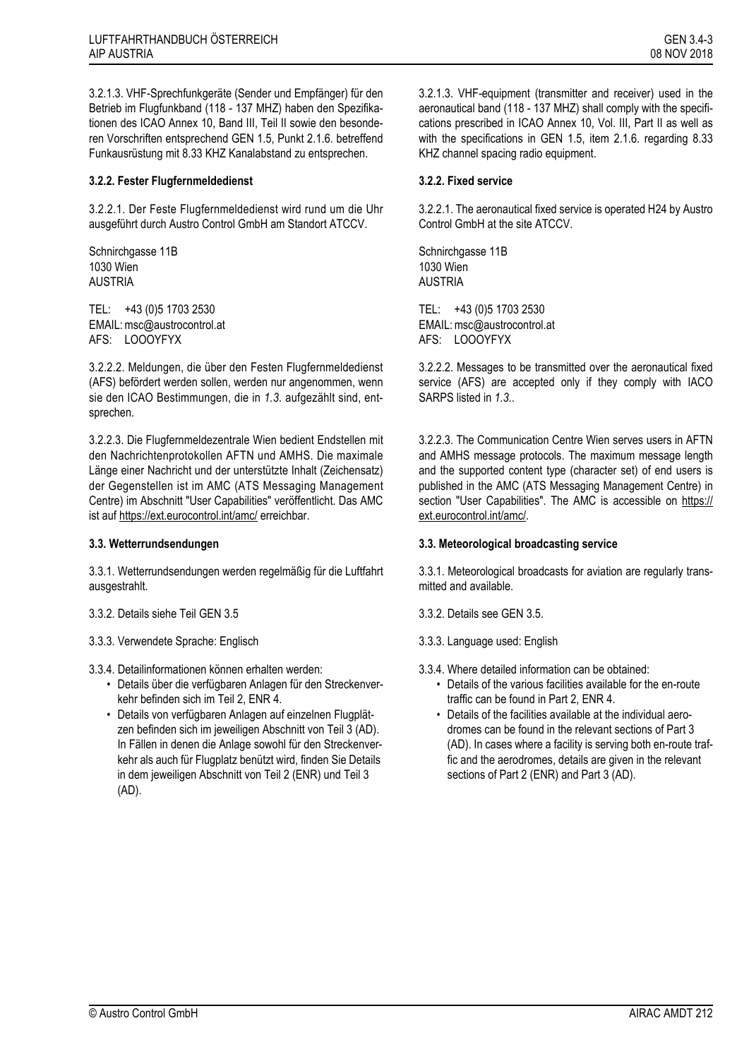3.2.1.3. VHF-Sprechfunkgeräte (Sender und Empfänger) für den Betrieb im Flugfunkband (118 - 137 MHZ) haben den Spezifikationen des ICAO Annex 10, Band III, Teil II sowie den besonderen Vorschriften entsprechend GEN 1.5, Punkt 2.1.6. betreffend Funkausrüstung mit 8.33 KHZ Kanalabstand zu entsprechen.

## **3.2.2. Fester Flugfernmeldedienst 3.2.2. Fixed service**

3.2.2.1. Der Feste Flugfernmeldedienst wird rund um die Uhr ausgeführt durch Austro Control GmbH am Standort ATCCV.

Schnirchgasse 11B 1030 Wien AUSTRIA

TEL: +43 (0)5 1703 2530 EMAIL: msc@austrocontrol.at AFS: LOOOYFYX

3.2.2.2. Meldungen, die über den Festen Flugfernmeldedienst (AFS) befördert werden sollen, werden nur angenommen, wenn sie den ICAO Bestimmungen, die in *[1.3.](#page-0-0)* aufgezählt sind, entsprechen.

3.2.2.3. Die Flugfernmeldezentrale Wien bedient Endstellen mit den Nachrichtenprotokollen AFTN und AMHS. Die maximale Länge einer Nachricht und der unterstützte Inhalt (Zeichensatz) der Gegenstellen ist im AMC (ATS Messaging Management Centre) im Abschnitt "User Capabilities" veröffentlicht. Das AMC ist auf https://ext.eurocontrol.int/amc/ erreichbar.

3.3.1. Wetterrundsendungen werden regelmäßig für die Luftfahrt ausgestrahlt.

- 3.3.2. Details siehe Teil GEN 3.5 3.3.2. Details see GEN 3.5.
- 3.3.3. Verwendete Sprache: Englisch 3.3.3. Language used: English
- 3.3.4. Detailinformationen können erhalten werden: 3.3.4. Where detailed information can be obtained:
	- Details über die verfügbaren Anlagen für den Streckenverkehr befinden sich im Teil 2, ENR 4.
	- Details von verfügbaren Anlagen auf einzelnen Flugplätzen befinden sich im jeweiligen Abschnitt von Teil 3 (AD). In Fällen in denen die Anlage sowohl für den Streckenverkehr als auch für Flugplatz benützt wird, finden Sie Details in dem jeweiligen Abschnitt von Teil 2 (ENR) und Teil 3 (AD).

3.2.1.3. VHF-equipment (transmitter and receiver) used in the aeronautical band (118 - 137 MHZ) shall comply with the specifications prescribed in ICAO Annex 10, Vol. III, Part II as well as with the specifications in GEN 1.5, item 2.1.6. regarding 8.33 KHZ channel spacing radio equipment.

3.2.2.1. The aeronautical fixed service is operated H24 by Austro Control GmbH at the site ATCCV.

Schnirchgasse 11B 1030 Wien AUSTRIA

TEL: +43 (0)5 1703 2530 EMAIL: msc@austrocontrol.at AFS: LOOOYFYX

3.2.2.2. Messages to be transmitted over the aeronautical fixed service (AFS) are accepted only if they comply with IACO SARPS listed in *[1.3.](#page-0-1)*.

3.2.2.3. The Communication Centre Wien serves users in AFTN and AMHS message protocols. The maximum message length and the supported content type (character set) of end users is published in the AMC (ATS Messaging Management Centre) in section "User Capabilities". The AMC is accessible on https:// ext.eurocontrol.int/amc/.

## **3.3. Wetterrundsendungen 3.3. Meteorological broadcasting service**

3.3.1. Meteorological broadcasts for aviation are regularly transmitted and available.

- 
- 
- - Details of the various facilities available for the en-route traffic can be found in Part 2, ENR 4.
	- Details of the facilities available at the individual aerodromes can be found in the relevant sections of Part 3 (AD). In cases where a facility is serving both en-route traffic and the aerodromes, details are given in the relevant sections of Part 2 (ENR) and Part 3 (AD).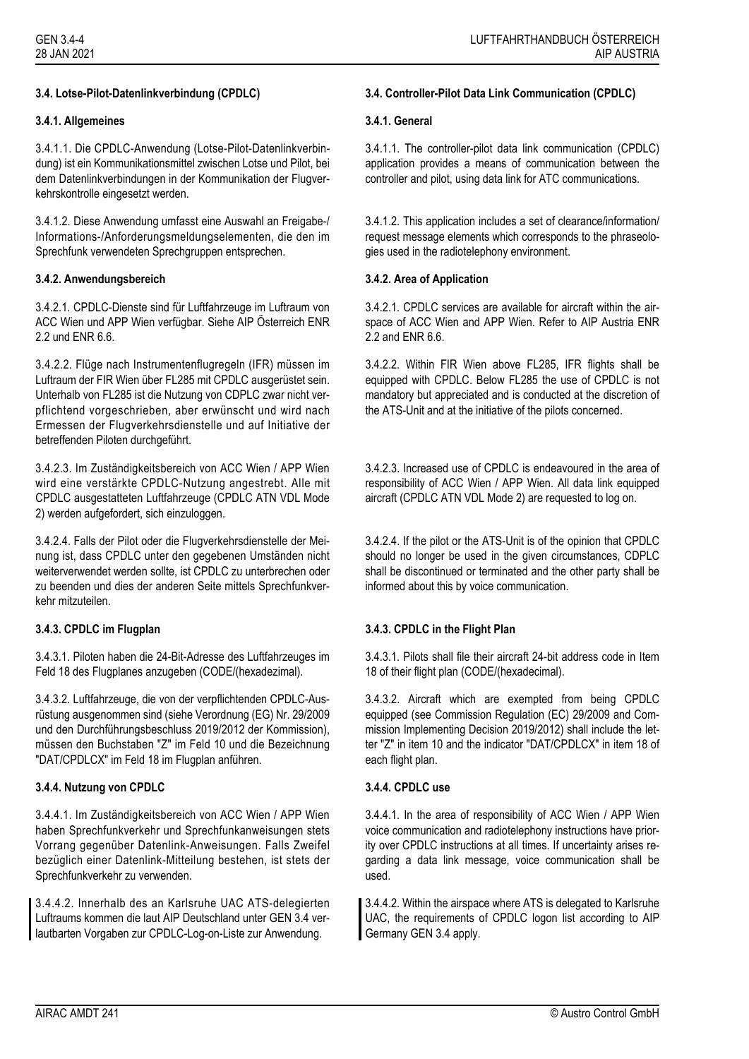## **3.4.1. Allgemeines 3.4.1. General**

3.4.1.1. Die CPDLC-Anwendung (Lotse-Pilot-Datenlinkverbindung) ist ein Kommunikationsmittel zwischen Lotse und Pilot, bei dem Datenlinkverbindungen in der Kommunikation der Flugverkehrskontrolle eingesetzt werden.

3.4.1.2. Diese Anwendung umfasst eine Auswahl an Freigabe-/ Informations-/Anforderungsmeldungselementen, die den im Sprechfunk verwendeten Sprechgruppen entsprechen.

## **3.4.2. Anwendungsbereich 3.4.2. Area of Application**

3.4.2.1. CPDLC-Dienste sind für Luftfahrzeuge im Luftraum von ACC Wien und APP Wien verfügbar. Siehe AIP Österreich ENR 2.2 und ENR 6.6.

3.4.2.2. Flüge nach Instrumentenflugregeln (IFR) müssen im Luftraum der FIR Wien über FL285 mit CPDLC ausgerüstet sein. Unterhalb von FL285 ist die Nutzung von CDPLC zwar nicht verpflichtend vorgeschrieben, aber erwünscht und wird nach Ermessen der Flugverkehrsdienstelle und auf Initiative der betreffenden Piloten durchgeführt.

3.4.2.3. Im Zuständigkeitsbereich von ACC Wien / APP Wien wird eine verstärkte CPDLC-Nutzung angestrebt. Alle mit CPDLC ausgestatteten Luftfahrzeuge (CPDLC ATN VDL Mode 2) werden aufgefordert, sich einzuloggen.

3.4.2.4. Falls der Pilot oder die Flugverkehrsdienstelle der Meinung ist, dass CPDLC unter den gegebenen Umständen nicht weiterverwendet werden sollte, ist CPDLC zu unterbrechen oder zu beenden und dies der anderen Seite mittels Sprechfunkverkehr mitzuteilen.

3.4.3.1. Piloten haben die 24-Bit-Adresse des Luftfahrzeuges im Feld 18 des Flugplanes anzugeben (CODE/(hexadezimal).

3.4.3.2. Luftfahrzeuge, die von der verpflichtenden CPDLC-Ausrüstung ausgenommen sind (siehe Verordnung (EG) Nr. 29/2009 und den Durchführungsbeschluss 2019/2012 der Kommission), müssen den Buchstaben "Z" im Feld 10 und die Bezeichnung "DAT/CPDLCX" im Feld 18 im Flugplan anführen.

## **3.4.4. Nutzung von CPDLC 3.4.4. CPDLC use**

3.4.4.1. Im Zuständigkeitsbereich von ACC Wien / APP Wien haben Sprechfunkverkehr und Sprechfunkanweisungen stets Vorrang gegenüber Datenlink-Anweisungen. Falls Zweifel bezüglich einer Datenlink-Mitteilung bestehen, ist stets der Sprechfunkverkehr zu verwenden.

3.4.4.2. Innerhalb des an Karlsruhe UAC ATS-delegierten Luftraums kommen die laut AIP Deutschland unter GEN 3.4 verlautbarten Vorgaben zur CPDLC-Log-on-Liste zur Anwendung.

## **3.4. Lotse-Pilot-Datenlinkverbindung (CPDLC) 3.4. Controller-Pilot Data Link Communication (CPDLC)**

3.4.1.1. The controller-pilot data link communication (CPDLC) application provides a means of communication between the controller and pilot, using data link for ATC communications.

3.4.1.2. This application includes a set of clearance/information/ request message elements which corresponds to the phraseologies used in the radiotelephony environment.

3.4.2.1. CPDLC services are available for aircraft within the airspace of ACC Wien and APP Wien. Refer to AIP Austria ENR 2.2 and ENR 6.6.

3.4.2.2. Within FIR Wien above FL285, IFR flights shall be equipped with CPDLC. Below FL285 the use of CPDLC is not mandatory but appreciated and is conducted at the discretion of the ATS-Unit and at the initiative of the pilots concerned.

3.4.2.3. Increased use of CPDLC is endeavoured in the area of responsibility of ACC Wien / APP Wien. All data link equipped aircraft (CPDLC ATN VDL Mode 2) are requested to log on.

3.4.2.4. If the pilot or the ATS-Unit is of the opinion that CPDLC should no longer be used in the given circumstances, CDPLC shall be discontinued or terminated and the other party shall be informed about this by voice communication.

# **3.4.3. CPDLC im Flugplan 3.4.3. CPDLC in the Flight Plan**

3.4.3.1. Pilots shall file their aircraft 24-bit address code in Item 18 of their flight plan (CODE/(hexadecimal).

3.4.3.2. Aircraft which are exempted from being CPDLC equipped (see Commission Regulation (EC) 29/2009 and Commission Implementing Decision 2019/2012) shall include the letter "Z" in item 10 and the indicator "DAT/CPDLCX" in item 18 of each flight plan.

3.4.4.1. In the area of responsibility of ACC Wien / APP Wien voice communication and radiotelephony instructions have priority over CPDLC instructions at all times. If uncertainty arises regarding a data link message, voice communication shall be used.

3.4.4.2. Within the airspace where ATS is delegated to Karlsruhe UAC, the requirements of CPDLC logon list according to AIP Germany GEN 3.4 apply.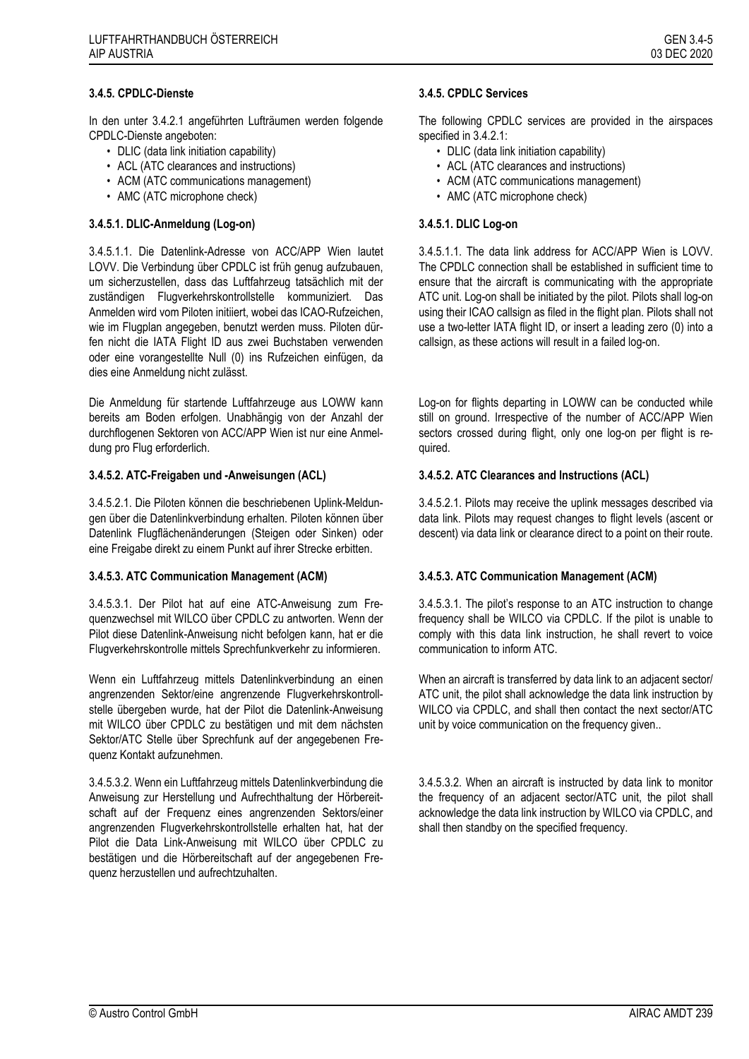In den unter 3.4.2.1 angeführten Lufträumen werden folgende CPDLC-Dienste angeboten:

- DLIC (data link initiation capability)
- ACL (ATC clearances and instructions)
- ACM (ATC communications management)
- AMC (ATC microphone check)

### **3.4.5.1. DLIC-Anmeldung (Log-on) 3.4.5.1. DLIC Log-on**

3.4.5.1.1. Die Datenlink-Adresse von ACC/APP Wien lautet LOVV. Die Verbindung über CPDLC ist früh genug aufzubauen, um sicherzustellen, dass das Luftfahrzeug tatsächlich mit der zuständigen Flugverkehrskontrollstelle kommuniziert. Das Anmelden wird vom Piloten initiiert, wobei das ICAO-Rufzeichen, wie im Flugplan angegeben, benutzt werden muss. Piloten dürfen nicht die IATA Flight ID aus zwei Buchstaben verwenden oder eine vorangestellte Null (0) ins Rufzeichen einfügen, da dies eine Anmeldung nicht zulässt.

Die Anmeldung für startende Luftfahrzeuge aus LOWW kann bereits am Boden erfolgen. Unabhängig von der Anzahl der durchflogenen Sektoren von ACC/APP Wien ist nur eine Anmeldung pro Flug erforderlich.

### **3.4.5.2. ATC-Freigaben und -Anweisungen (ACL) 3.4.5.2. ATC Clearances and Instructions (ACL)**

3.4.5.2.1. Die Piloten können die beschriebenen Uplink-Meldungen über die Datenlinkverbindung erhalten. Piloten können über Datenlink Flugflächenänderungen (Steigen oder Sinken) oder eine Freigabe direkt zu einem Punkt auf ihrer Strecke erbitten.

3.4.5.3.1. Der Pilot hat auf eine ATC-Anweisung zum Frequenzwechsel mit WILCO über CPDLC zu antworten. Wenn der Pilot diese Datenlink-Anweisung nicht befolgen kann, hat er die Flugverkehrskontrolle mittels Sprechfunkverkehr zu informieren.

Wenn ein Luftfahrzeug mittels Datenlinkverbindung an einen angrenzenden Sektor/eine angrenzende Flugverkehrskontrollstelle übergeben wurde, hat der Pilot die Datenlink-Anweisung mit WILCO über CPDLC zu bestätigen und mit dem nächsten Sektor/ATC Stelle über Sprechfunk auf der angegebenen Frequenz Kontakt aufzunehmen.

3.4.5.3.2. Wenn ein Luftfahrzeug mittels Datenlinkverbindung die Anweisung zur Herstellung und Aufrechthaltung der Hörbereitschaft auf der Frequenz eines angrenzenden Sektors/einer angrenzenden Flugverkehrskontrollstelle erhalten hat, hat der Pilot die Data Link-Anweisung mit WILCO über CPDLC zu bestätigen und die Hörbereitschaft auf der angegebenen Frequenz herzustellen und aufrechtzuhalten.

The following CPDLC services are provided in the airspaces specified in 3.4.2.1:

- DLIC (data link initiation capability)
- ACL (ATC clearances and instructions)
- ACM (ATC communications management)
- AMC (ATC microphone check)

3.4.5.1.1. The data link address for ACC/APP Wien is LOVV. The CPDLC connection shall be established in sufficient time to ensure that the aircraft is communicating with the appropriate ATC unit. Log-on shall be initiated by the pilot. Pilots shall log-on using their ICAO callsign as filed in the flight plan. Pilots shall not use a two-letter IATA flight ID, or insert a leading zero (0) into a callsign, as these actions will result in a failed log-on.

Log-on for flights departing in LOWW can be conducted while still on ground. Irrespective of the number of ACC/APP Wien sectors crossed during flight, only one log-on per flight is required.

3.4.5.2.1. Pilots may receive the uplink messages described via data link. Pilots may request changes to flight levels (ascent or descent) via data link or clearance direct to a point on their route.

### **3.4.5.3. ATC Communication Management (ACM) 3.4.5.3. ATC Communication Management (ACM)**

3.4.5.3.1. The pilot's response to an ATC instruction to change frequency shall be WILCO via CPDLC. If the pilot is unable to comply with this data link instruction, he shall revert to voice communication to inform ATC.

When an aircraft is transferred by data link to an adjacent sector/ ATC unit, the pilot shall acknowledge the data link instruction by WILCO via CPDLC, and shall then contact the next sector/ATC unit by voice communication on the frequency given..

3.4.5.3.2. When an aircraft is instructed by data link to monitor the frequency of an adjacent sector/ATC unit, the pilot shall acknowledge the data link instruction by WILCO via CPDLC, and shall then standby on the specified frequency.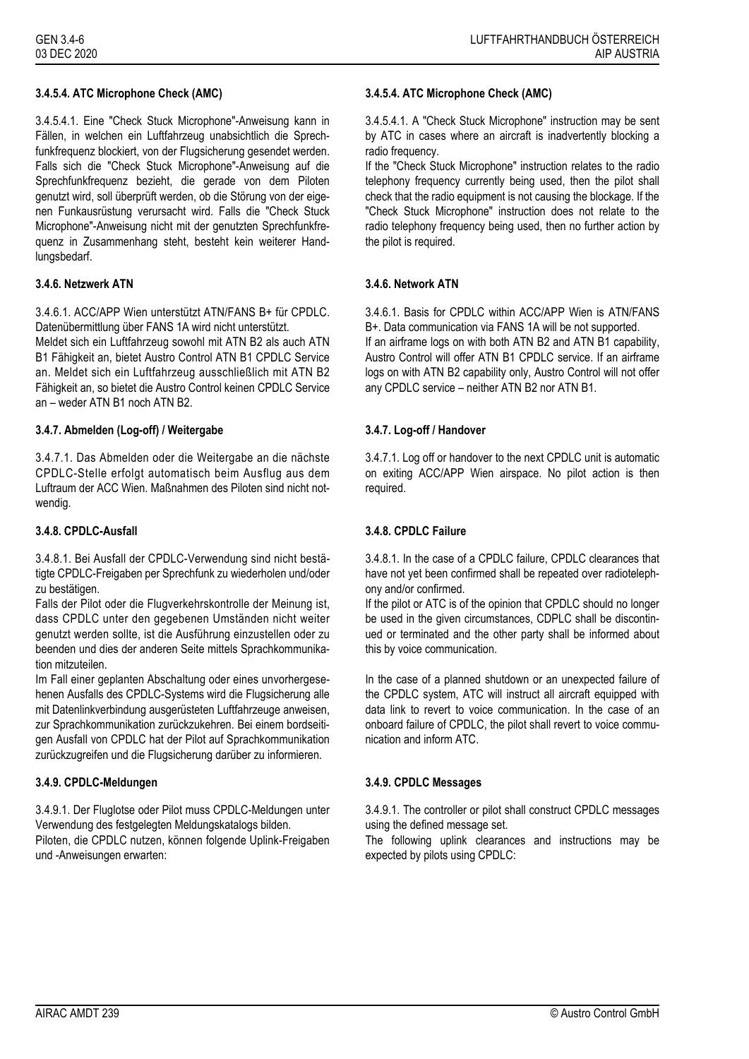3.4.5.4.1. Eine "Check Stuck Microphone"-Anweisung kann in Fällen, in welchen ein Luftfahrzeug unabsichtlich die Sprechfunkfrequenz blockiert, von der Flugsicherung gesendet werden. Falls sich die "Check Stuck Microphone"-Anweisung auf die Sprechfunkfrequenz bezieht, die gerade von dem Piloten genutzt wird, soll überprüft werden, ob die Störung von der eigenen Funkausrüstung verursacht wird. Falls die "Check Stuck Microphone"-Anweisung nicht mit der genutzten Sprechfunkfrequenz in Zusammenhang steht, besteht kein weiterer Handlungsbedarf.

## **3.4.6. Netzwerk ATN 3.4.6. Network ATN**

3.4.6.1. ACC/APP Wien unterstützt ATN/FANS B+ für CPDLC. Datenübermittlung über FANS 1A wird nicht unterstützt.

Meldet sich ein Luftfahrzeug sowohl mit ATN B2 als auch ATN B1 Fähigkeit an, bietet Austro Control ATN B1 CPDLC Service an. Meldet sich ein Luftfahrzeug ausschließlich mit ATN B2 Fähigkeit an, so bietet die Austro Control keinen CPDLC Service an – weder ATN B1 noch ATN B2.

### **3.4.7. Abmelden (Log-off) / Weitergabe 3.4.7. Log-off / Handover**

3.4.7.1. Das Abmelden oder die Weitergabe an die nächste CPDLC-Stelle erfolgt automatisch beim Ausflug aus dem Luftraum der ACC Wien. Maßnahmen des Piloten sind nicht notwendig.

3.4.8.1. Bei Ausfall der CPDLC-Verwendung sind nicht bestätigte CPDLC-Freigaben per Sprechfunk zu wiederholen und/oder zu bestätigen.

Falls der Pilot oder die Flugverkehrskontrolle der Meinung ist, dass CPDLC unter den gegebenen Umständen nicht weiter genutzt werden sollte, ist die Ausführung einzustellen oder zu beenden und dies der anderen Seite mittels Sprachkommunikation mitzuteilen.

Im Fall einer geplanten Abschaltung oder eines unvorhergesehenen Ausfalls des CPDLC-Systems wird die Flugsicherung alle mit Datenlinkverbindung ausgerüsteten Luftfahrzeuge anweisen, zur Sprachkommunikation zurückzukehren. Bei einem bordseitigen Ausfall von CPDLC hat der Pilot auf Sprachkommunikation zurückzugreifen und die Flugsicherung darüber zu informieren.

3.4.9.1. Der Fluglotse oder Pilot muss CPDLC-Meldungen unter Verwendung des festgelegten Meldungskatalogs bilden. Piloten, die CPDLC nutzen, können folgende Uplink-Freigaben und -Anweisungen erwarten:

### **3.4.5.4. ATC Microphone Check (AMC) 3.4.5.4. ATC Microphone Check (AMC)**

3.4.5.4.1. A "Check Stuck Microphone" instruction may be sent by ATC in cases where an aircraft is inadvertently blocking a radio frequency.

If the "Check Stuck Microphone" instruction relates to the radio telephony frequency currently being used, then the pilot shall check that the radio equipment is not causing the blockage. If the "Check Stuck Microphone" instruction does not relate to the radio telephony frequency being used, then no further action by the pilot is required.

3.4.6.1. Basis for CPDLC within ACC/APP Wien is ATN/FANS B+. Data communication via FANS 1A will be not supported. If an airframe logs on with both ATN B2 and ATN B1 capability, Austro Control will offer ATN B1 CPDLC service. If an airframe logs on with ATN B2 capability only, Austro Control will not offer any CPDLC service – neither ATN B2 nor ATN B1.

3.4.7.1. Log off or handover to the next CPDLC unit is automatic on exiting ACC/APP Wien airspace. No pilot action is then required.

### **3.4.8. CPDLC-Ausfall 3.4.8. CPDLC Failure**

3.4.8.1. In the case of a CPDLC failure, CPDLC clearances that have not yet been confirmed shall be repeated over radiotelephony and/or confirmed.

If the pilot or ATC is of the opinion that CPDLC should no longer be used in the given circumstances, CDPLC shall be discontinued or terminated and the other party shall be informed about this by voice communication.

In the case of a planned shutdown or an unexpected failure of the CPDLC system, ATC will instruct all aircraft equipped with data link to revert to voice communication. In the case of an onboard failure of CPDLC, the pilot shall revert to voice communication and inform ATC.

## **3.4.9. CPDLC-Meldungen 3.4.9. CPDLC Messages**

3.4.9.1. The controller or pilot shall construct CPDLC messages using the defined message set.

The following uplink clearances and instructions may be expected by pilots using CPDLC: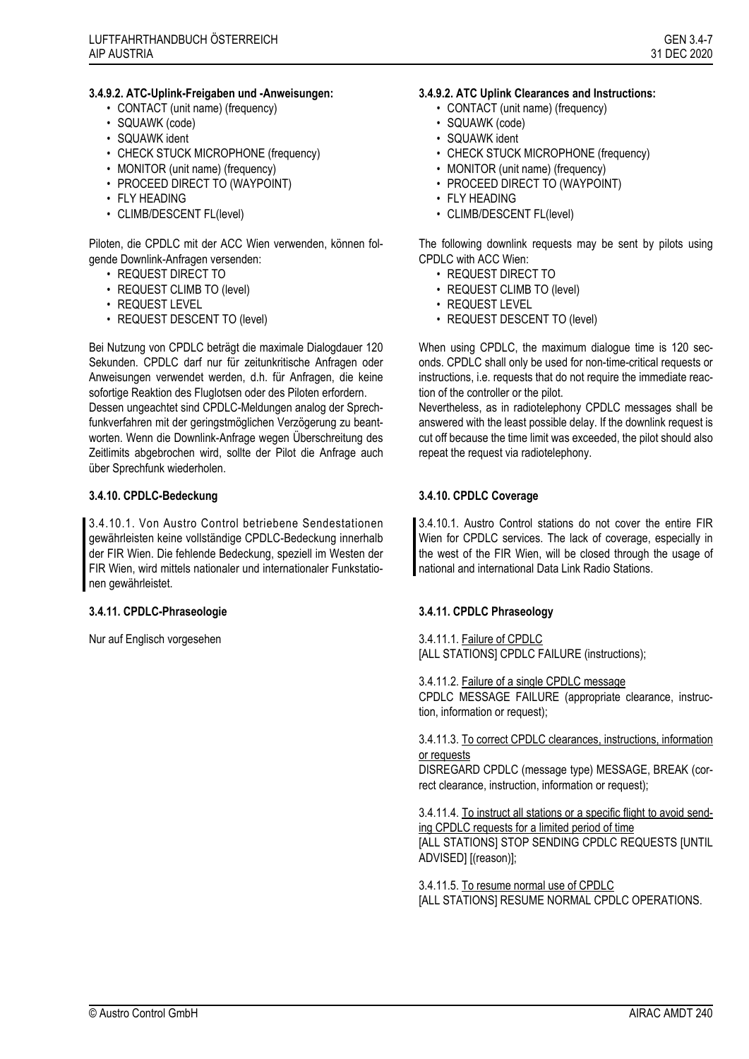### **3.4.9.2. ATC-Uplink-Freigaben und -Anweisungen:**

- CONTACT (unit name) (frequency)
- SQUAWK (code)
- SQUAWK ident
- CHECK STUCK MICROPHONE (frequency)
- MONITOR (unit name) (frequency)
- PROCEED DIRECT TO (WAYPOINT)
- FLY HEADING
- CLIMB/DESCENT FL(level)

Piloten, die CPDLC mit der ACC Wien verwenden, können folgende Downlink-Anfragen versenden:

- REQUEST DIRECT TO
- REQUEST CLIMB TO (level)
- REQUEST LEVEL
- REQUEST DESCENT TO (level)

Bei Nutzung von CPDLC beträgt die maximale Dialogdauer 120 Sekunden. CPDLC darf nur für zeitunkritische Anfragen oder Anweisungen verwendet werden, d.h. für Anfragen, die keine sofortige Reaktion des Fluglotsen oder des Piloten erfordern. Dessen ungeachtet sind CPDLC-Meldungen analog der Sprechfunkverfahren mit der geringstmöglichen Verzögerung zu beantworten. Wenn die Downlink-Anfrage wegen Überschreitung des Zeitlimits abgebrochen wird, sollte der Pilot die Anfrage auch über Sprechfunk wiederholen.

### **3.4.10. CPDLC-Bedeckung 3.4.10. CPDLC Coverage**

3.4.10.1. Von Austro Control betriebene Sendestationen gewährleisten keine vollständige CPDLC-Bedeckung innerhalb der FIR Wien. Die fehlende Bedeckung, speziell im Westen der FIR Wien, wird mittels nationaler und internationaler Funkstationen gewährleistet.

Nur auf Englisch vorgesehen 3.4.11.1. Failure of CPDLC

### **3.4.9.2. ATC Uplink Clearances and Instructions:**

- CONTACT (unit name) (frequency)
- SQUAWK (code)
- SQUAWK ident
- CHECK STUCK MICROPHONE (frequency)
- MONITOR (unit name) (frequency)
- PROCEED DIRECT TO (WAYPOINT)
- FLY HEADING
- CLIMB/DESCENT FL(level)

The following downlink requests may be sent by pilots using CPDLC with ACC Wien:

- REQUEST DIRECT TO
- REQUEST CLIMB TO (level)
- REQUEST LEVEL
- REQUEST DESCENT TO (level)

When using CPDLC, the maximum dialogue time is 120 seconds. CPDLC shall only be used for non-time-critical requests or instructions, i.e. requests that do not require the immediate reaction of the controller or the pilot.

Nevertheless, as in radiotelephony CPDLC messages shall be answered with the least possible delay. If the downlink request is cut off because the time limit was exceeded, the pilot should also repeat the request via radiotelephony.

3.4.10.1. Austro Control stations do not cover the entire FIR Wien for CPDLC services. The lack of coverage, especially in the west of the FIR Wien, will be closed through the usage of national and international Data Link Radio Stations.

### **3.4.11. CPDLC-Phraseologie 3.4.11. CPDLC Phraseology**

[ALL STATIONS] CPDLC FAILURE (instructions);

3.4.11.2. Failure of a single CPDLC message CPDLC MESSAGE FAILURE (appropriate clearance, instruction, information or request);

### 3.4.11.3. To correct CPDLC clearances, instructions, information or requests

DISREGARD CPDLC (message type) MESSAGE, BREAK (correct clearance, instruction, information or request);

3.4.11.4. To instruct all stations or a specific flight to avoid sending CPDLC requests for a limited period of time [ALL STATIONS] STOP SENDING CPDLC REQUESTS [UNTIL ADVISED] [(reason)];

3.4.11.5. To resume normal use of CPDLC [ALL STATIONS] RESUME NORMAL CPDLC OPERATIONS.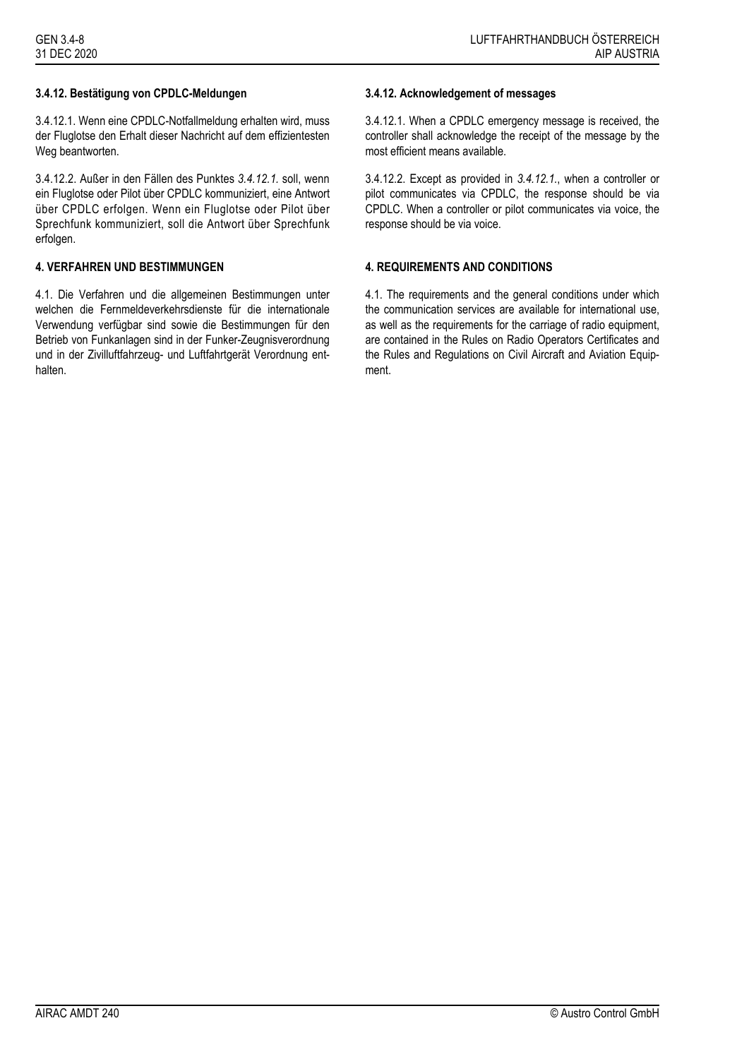## **3.4.12. Bestätigung von CPDLC-Meldungen 3.4.12. Acknowledgement of messages**

<span id="page-7-0"></span>3.4.12.1. Wenn eine CPDLC-Notfallmeldung erhalten wird, muss der Fluglotse den Erhalt dieser Nachricht auf dem effizientesten Weg beantworten.

3.4.12.2. Außer in den Fällen des Punktes *[3.4.12.1.](#page-7-0)* soll, wenn ein Fluglotse oder Pilot über CPDLC kommuniziert, eine Antwort über CPDLC erfolgen. Wenn ein Fluglotse oder Pilot über Sprechfunk kommuniziert, soll die Antwort über Sprechfunk erfolgen.

### **4. VERFAHREN UND BESTIMMUNGEN 4. REQUIREMENTS AND CONDITIONS**

4.1. Die Verfahren und die allgemeinen Bestimmungen unter welchen die Fernmeldeverkehrsdienste für die internationale Verwendung verfügbar sind sowie die Bestimmungen für den Betrieb von Funkanlagen sind in der Funker-Zeugnisverordnung und in der Zivilluftfahrzeug- und Luftfahrtgerät Verordnung enthalten.

<span id="page-7-1"></span>3.4.12.1. When a CPDLC emergency message is received, the controller shall acknowledge the receipt of the message by the most efficient means available.

3.4.12.2. Except as provided in *[3.4.12.1.](#page-7-1)*, when a controller or pilot communicates via CPDLC, the response should be via CPDLC. When a controller or pilot communicates via voice, the response should be via voice.

4.1. The requirements and the general conditions under which the communication services are available for international use, as well as the requirements for the carriage of radio equipment, are contained in the Rules on Radio Operators Certificates and the Rules and Regulations on Civil Aircraft and Aviation Equipment.